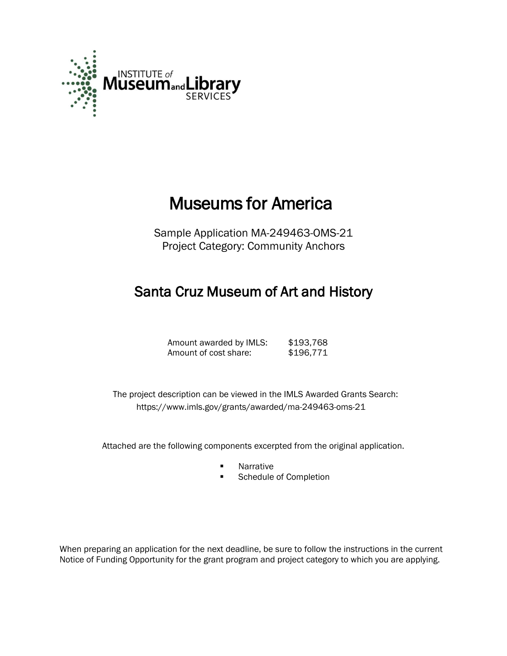

# Museums for America

Sample Application MA-249463-OMS-21 Project Category: Community Anchors

## Santa Cruz Museum of Art and History

Amount awarded by IMLS: \$193,768 Amount of cost share: \$196,771

 The project description can be viewed in the IMLS Awarded Grants Search: <https://www.imls.gov/grants/awarded/ma-249463-oms-21>

Attached are the following components excerpted from the original application.

- **Narrative**
- **EXECUTE:** Schedule of Completion

When preparing an application for the next deadline, be sure to follow the instructions in the current Notice of Funding Opportunity for the grant program and project category to which you are applying.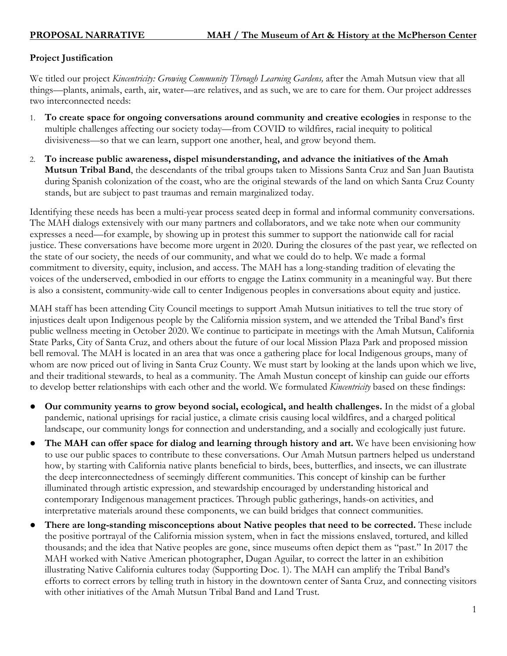### **Project Justification**

We titled our project *Kincentricity: Growing Community Through Learning Gardens,* after the Amah Mutsun view that all things—plants, animals, earth, air, water—are relatives, and as such, we are to care for them. Our project addresses two interconnected needs:

- 1. **To create space for ongoing conversations around community and creative ecologies** in response to the multiple challenges affecting our society today—from COVID to wildfires, racial inequity to political divisiveness—so that we can learn, support one another, heal, and grow beyond them.
- 2. **To increase public awareness, dispel misunderstanding, and advance the initiatives of the Amah Mutsun Tribal Band**, the descendants of the tribal groups taken to Missions Santa Cruz and San Juan Bautista during Spanish colonization of the coast, who are the original stewards of the land on which Santa Cruz County stands, but are subject to past traumas and remain marginalized today.

Identifying these needs has been a multi-year process seated deep in formal and informal community conversations. The MAH dialogs extensively with our many partners and collaborators, and we take note when our community expresses a need—for example, by showing up in protest this summer to support the nationwide call for racial justice. These conversations have become more urgent in 2020. During the closures of the past year, we reflected on the state of our society, the needs of our community, and what we could do to help. We made a formal commitment to diversity, equity, inclusion, and access. The MAH has a long-standing tradition of elevating the voices of the underserved, embodied in our efforts to engage the Latinx community in a meaningful way. But there is also a consistent, community-wide call to center Indigenous peoples in conversations about equity and justice.

MAH staff has been attending City Council meetings to support Amah Mutsun initiatives to tell the true story of injustices dealt upon Indigenous people by the California mission system, and we attended the Tribal Band's first public wellness meeting in October 2020. We continue to participate in meetings with the Amah Mutsun, California State Parks, City of Santa Cruz, and others about the future of our local Mission Plaza Park and proposed mission bell removal. The MAH is located in an area that was once a gathering place for local Indigenous groups, many of whom are now priced out of living in Santa Cruz County. We must start by looking at the lands upon which we live, and their traditional stewards, to heal as a community. The Amah Mustun concept of kinship can guide our efforts to develop better relationships with each other and the world. We formulated *Kincentricity* based on these findings:

- **Our community yearns to grow beyond social, ecological, and health challenges.** In the midst of a global pandemic, national uprisings for racial justice, a climate crisis causing local wildfires, and a charged political landscape, our community longs for connection and understanding, and a socially and ecologically just future.
- The MAH can offer space for dialog and learning through history and art. We have been envisioning how to use our public spaces to contribute to these conversations. Our Amah Mutsun partners helped us understand how, by starting with California native plants beneficial to birds, bees, butterflies, and insects, we can illustrate the deep interconnectedness of seemingly different communities. This concept of kinship can be further illuminated through artistic expression, and stewardship encouraged by understanding historical and contemporary Indigenous management practices. Through public gatherings, hands-on activities, and interpretative materials around these components, we can build bridges that connect communities.
- **There are long-standing misconceptions about Native peoples that need to be corrected.** These include the positive portrayal of the California mission system, when in fact the missions enslaved, tortured, and killed thousands; and the idea that Native peoples are gone, since museums often depict them as "past." In 2017 the MAH worked with Native American photographer, Dugan Aguilar, to correct the latter in an exhibition illustrating Native California cultures today (Supporting Doc. 1). The MAH can amplify the Tribal Band's efforts to correct errors by telling truth in history in the downtown center of Santa Cruz, and connecting visitors with other initiatives of the Amah Mutsun Tribal Band and Land Trust.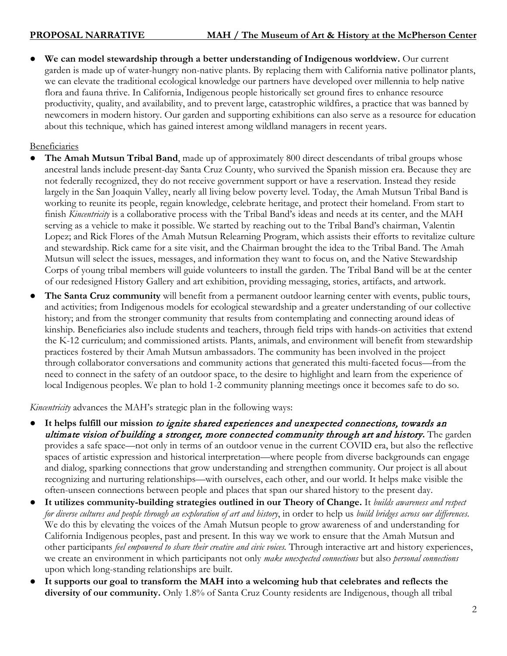We can model stewardship through a better understanding of Indigenous worldview. Our current garden is made up of water-hungry non-native plants. By replacing them with California native pollinator plants, we can elevate the traditional ecological knowledge our partners have developed over millennia to help native flora and fauna thrive. In California, Indigenous people historically set ground fires to enhance resource productivity, quality, and availability, and to prevent large, catastrophic wildfires, a practice that was banned by newcomers in modern history. Our garden and supporting exhibitions can also serve as a resource for education about this technique, which has gained interest among wildland managers in recent years.

Beneficiaries

- The Amah Mutsun Tribal Band, made up of approximately 800 direct descendants of tribal groups whose ancestral lands include present-day Santa Cruz County, who survived the Spanish mission era. Because they are not federally recognized, they do not receive government support or have a reservation. Instead they reside largely in the San Joaquin Valley, nearly all living below poverty level. Today, the Amah Mutsun Tribal Band is working to reunite its people, regain knowledge, celebrate heritage, and protect their homeland. From start to finish *Kincentricity* is a collaborative process with the Tribal Band's ideas and needs at its center, and the MAH serving as a vehicle to make it possible. We started by reaching out to the Tribal Band's chairman, Valentin Lopez; and Rick Flores of the Amah Mutsun Relearning Program, which assists their efforts to revitalize culture and stewardship. Rick came for a site visit, and the Chairman brought the idea to the Tribal Band. The Amah Mutsun will select the issues, messages, and information they want to focus on, and the Native Stewardship Corps of young tribal members will guide volunteers to install the garden. The Tribal Band will be at the center of our redesigned History Gallery and art exhibition, providing messaging, stories, artifacts, and artwork.
- The Santa Cruz community will benefit from a permanent outdoor learning center with events, public tours, and activities; from Indigenous models for ecological stewardship and a greater understanding of our collective history; and from the stronger community that results from contemplating and connecting around ideas of kinship. Beneficiaries also include students and teachers, through field trips with hands-on activities that extend the K-12 curriculum; and commissioned artists. Plants, animals, and environment will benefit from stewardship practices fostered by their Amah Mutsun ambassadors. The community has been involved in the project through collaborator conversations and community actions that generated this multi-faceted focus—from the need to connect in the safety of an outdoor space, to the desire to highlight and learn from the experience of local Indigenous peoples. We plan to hold 1-2 community planning meetings once it becomes safe to do so.

*Kincentricity* advances the MAH's strategic plan in the following ways:

- It helps fulfill our mission to ignite shared experiences and unexpected connections, towards an ultimate vision of building a stronger, more connected community through art and history**.** The garden provides a safe space—not only in terms of an outdoor venue in the current COVID era, but also the reflective spaces of artistic expression and historical interpretation—where people from diverse backgrounds can engage and dialog, sparking connections that grow understanding and strengthen community. Our project is all about recognizing and nurturing relationships—with ourselves, each other, and our world. It helps make visible the often-unseen connections between people and places that span our shared history to the present day.
- **It utilizes community-building strategies outlined in our Theory of Change.** It *builds awareness and respect for diverse cultures and people through an exploration of art and history*, in order to help us *build bridges across our differences*. We do this by elevating the voices of the Amah Mutsun people to grow awareness of and understanding for California Indigenous peoples, past and present. In this way we work to ensure that the Amah Mutsun and other participants *feel empowered to share their creative and civic voices.* Through interactive art and history experiences, we create an environment in which participants not only *make unexpected connections* but also *personal connections* upon which long-standing relationships are built.
- **It supports our goal to transform the MAH into a welcoming hub that celebrates and reflects the diversity of our community.** Only 1.8% of Santa Cruz County residents are Indigenous, though all tribal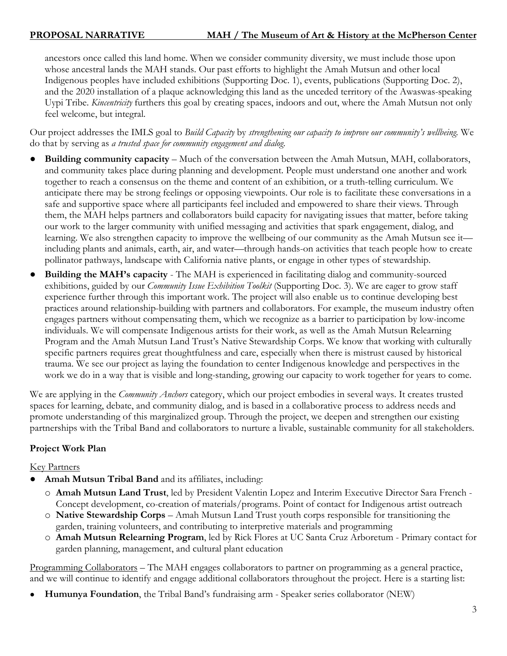ancestors once called this land home. When we consider community diversity, we must include those upon whose ancestral lands the MAH stands. Our past efforts to highlight the Amah Mutsun and other local Indigenous peoples have included exhibitions (Supporting Doc. 1), events, publications (Supporting Doc. 2), and the 2020 installation of a plaque acknowledging this land as the unceded territory of the Awaswas-speaking Uypi Tribe. *Kincentricity* furthers this goal by creating spaces, indoors and out, where the Amah Mutsun not only feel welcome, but integral.

Our project addresses the IMLS goal to *Build Capacity* by *strengthening our capacity to improve our community's wellbeing.* We do that by serving as *a trusted space for community engagement and dialog*.

- **Building community capacity** Much of the conversation between the Amah Mutsun, MAH, collaborators, and community takes place during planning and development. People must understand one another and work together to reach a consensus on the theme and content of an exhibition, or a truth-telling curriculum. We anticipate there may be strong feelings or opposing viewpoints. Our role is to facilitate these conversations in a safe and supportive space where all participants feel included and empowered to share their views. Through them, the MAH helps partners and collaborators build capacity for navigating issues that matter, before taking our work to the larger community with unified messaging and activities that spark engagement, dialog, and learning. We also strengthen capacity to improve the wellbeing of our community as the Amah Mutsun see it including plants and animals, earth, air, and water—through hands-on activities that teach people how to create pollinator pathways, landscape with California native plants, or engage in other types of stewardship.
- **Building the MAH's capacity** The MAH is experienced in facilitating dialog and community-sourced exhibitions, guided by our *Community Issue Exhibition Toolkit* (Supporting Doc. 3). We are eager to grow staff experience further through this important work. The project will also enable us to continue developing best practices around relationship-building with partners and collaborators. For example, the museum industry often engages partners without compensating them, which we recognize as a barrier to participation by low-income individuals. We will compensate Indigenous artists for their work, as well as the Amah Mutsun Relearning Program and the Amah Mutsun Land Trust's Native Stewardship Corps. We know that working with culturally specific partners requires great thoughtfulness and care, especially when there is mistrust caused by historical trauma. We see our project as laying the foundation to center Indigenous knowledge and perspectives in the work we do in a way that is visible and long-standing, growing our capacity to work together for years to come.

We are applying in the *Community Anchors* category, which our project embodies in several ways. It creates trusted spaces for learning, debate, and community dialog, and is based in a collaborative process to address needs and promote understanding of this marginalized group. Through the project, we deepen and strengthen our existing partnerships with the Tribal Band and collaborators to nurture a livable, sustainable community for all stakeholders.

### **Project Work Plan**

### Key Partners

- Amah Mutsun Tribal Band and its affiliates, including:
	- o **Amah Mutsun Land Trust**, led by President Valentin Lopez and Interim Executive Director Sara French Concept development, co-creation of materials/programs. Point of contact for Indigenous artist outreach
	- o **Native Stewardship Corps** Amah Mutsun Land Trust youth corps responsible for transitioning the garden, training volunteers, and contributing to interpretive materials and programming
	- o **Amah Mutsun Relearning Program**, led by Rick Flores at UC Santa Cruz Arboretum Primary contact for garden planning, management, and cultural plant education

Programming Collaborators – The MAH engages collaborators to partner on programming as a general practice, and we will continue to identify and engage additional collaborators throughout the project. Here is a starting list:

● **Humunya Foundation**, the Tribal Band's fundraising arm - Speaker series collaborator (NEW)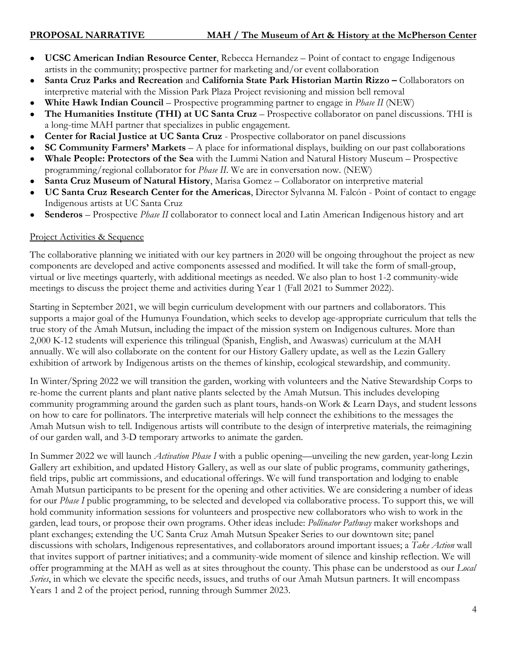- **[UCSC American Indian Resource Center](https://airc.ucsc.edu/)**, Rebecca Hernandez Point of contact to engage Indigenous artists in the community; prospective partner for marketing and/or event collaboration
- **Santa Cruz Parks and Recreation** and **California State Park Historian Martin Rizzo –** Collaborators on interpretive material with the Mission Park Plaza Project revisioning and mission bell removal
- **White Hawk Indian Council** Prospective programming partner to engage in *Phase II* (NEW)
- The Humanities Institute (THI) at UC Santa Cruz Prospective collaborator on panel discussions. THI is a long-time MAH partner that specializes in public engagement.
- **Center for Racial Justice at UC Santa Cruz** Prospective collaborator on panel discussions
- **SC Community Farmers' Markets** A place for informational displays, building on our past collaborations
- **Whale People: Protectors of the Sea** with the Lummi Nation and Natural History Museum Prospective programming/regional collaborator for *Phase II*. We are in conversation now. (NEW)
- Santa Cruz Museum of Natural History, Marisa Gomez Collaborator on interpretive material
- **UC Santa Cruz Research Center for the Americas**, Director Sylvanna M. Falcón Point of contact to engage Indigenous artists at UC Santa Cruz
- **Senderos** Prospective *Phase II* collaborator to connect local and Latin American Indigenous history and art

#### Project Activities & Sequence

The collaborative planning we initiated with our key partners in 2020 will be ongoing throughout the project as new components are developed and active components assessed and modified. It will take the form of small-group, virtual or live meetings quarterly, with additional meetings as needed. We also plan to host 1-2 community-wide meetings to discuss the project theme and activities during Year 1 (Fall 2021 to Summer 2022).

Starting in September 2021, we will begin curriculum development with our partners and collaborators. This supports a major goal of the Humunya Foundation, which seeks to develop age-appropriate curriculum that tells the true story of the Amah Mutsun, including the impact of the mission system on Indigenous cultures. More than 2,000 K-12 students will experience this trilingual (Spanish, English, and Awaswas) curriculum at the MAH annually. We will also collaborate on the content for our History Gallery update, as well as the Lezin Gallery exhibition of artwork by Indigenous artists on the themes of kinship, ecological stewardship, and community.

In Winter/Spring 2022 we will transition the garden, working with volunteers and the Native Stewardship Corps to re-home the current plants and plant native plants selected by the Amah Mutsun. This includes developing community programming around the garden such as plant tours, hands-on Work & Learn Days, and student lessons on how to care for pollinators. The interpretive materials will help connect the exhibitions to the messages the Amah Mutsun wish to tell. Indigenous artists will contribute to the design of interpretive materials, the reimagining of our garden wall, and 3-D temporary artworks to animate the garden.

In Summer 2022 we will launch *Activation Phase I* with a public opening—unveiling the new garden, year-long Lezin Gallery art exhibition, and updated History Gallery, as well as our slate of public programs, community gatherings, field trips, public art commissions, and educational offerings. We will fund transportation and lodging to enable Amah Mutsun participants to be present for the opening and other activities. We are considering a number of ideas for our *Phase I* public programming, to be selected and developed via collaborative process. To support this, we will hold community information sessions for volunteers and prospective new collaborators who wish to work in the garden, lead tours, or propose their own programs. Other ideas include: *Pollinator Pathway* maker workshops and plant exchanges; extending the UC Santa Cruz Amah Mutsun Speaker Series to our downtown site; panel discussions with scholars, Indigenous representatives, and collaborators around important issues; a *Take Action* wall that invites support of partner initiatives; and a community-wide moment of silence and kinship reflection. We will offer programming at the MAH as well as at sites throughout the county. This phase can be understood as our *Local Series*, in which we elevate the specific needs, issues, and truths of our Amah Mutsun partners. It will encompass Years 1 and 2 of the project period, running through Summer 2023.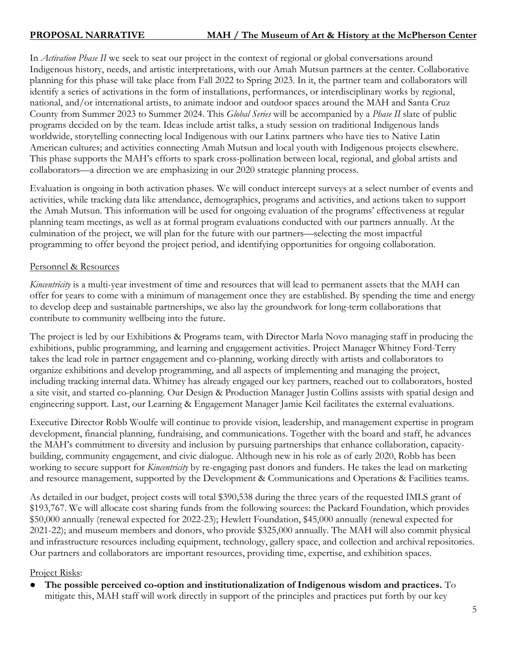In *Activation Phase II* we seek to seat our project in the context of regional or global conversations around Indigenous history, needs, and artistic interpretations, with our Amah Mutsun partners at the center. Collaborative planning for this phase will take place from Fall 2022 to Spring 2023. In it, the partner team and collaborators will identify a series of activations in the form of installations, performances, or interdisciplinary works by regional, national, and/or international artists, to animate indoor and outdoor spaces around the MAH and Santa Cruz County from Summer 2023 to Summer 2024. This *Global Series* will be accompanied by a *Phase II* slate of public programs decided on by the team. Ideas include artist talks, a study session on traditional Indigenous lands worldwide, storytelling connecting local Indigenous with our Latinx partners who have ties to Native Latin American cultures; and activities connecting Amah Mutsun and local youth with Indigenous projects elsewhere. This phase supports the MAH's efforts to spark cross-pollination between local, regional, and global artists and collaborators—a direction we are emphasizing in our 2020 strategic planning process.

Evaluation is ongoing in both activation phases*.* We will conduct intercept surveys at a select number of events and activities, while tracking data like attendance, demographics, programs and activities, and actions taken to support the Amah Mutsun. This information will be used for ongoing evaluation of the programs' effectiveness at regular planning team meetings, as well as at formal program evaluations conducted with our partners annually. At the culmination of the project, we will plan for the future with our partners—selecting the most impactful programming to offer beyond the project period, and identifying opportunities for ongoing collaboration.

#### Personnel & Resources

*Kincentricity* is a multi-year investment of time and resources that will lead to permanent assets that the MAH can offer for years to come with a minimum of management once they are established. By spending the time and energy to develop deep and sustainable partnerships, we also lay the groundwork for long-term collaborations that contribute to community wellbeing into the future.

The project is led by our Exhibitions & Programs team, with Director Marla Novo managing staff in producing the exhibitions, public programming, and learning and engagement activities. Project Manager Whitney Ford-Terry takes the lead role in partner engagement and co-planning, working directly with artists and collaborators to organize exhibitions and develop programming, and all aspects of implementing and managing the project, including tracking internal data. Whitney has already engaged our key partners, reached out to collaborators, hosted a site visit, and started co-planning. Our Design & Production Manager Justin Collins assists with spatial design and engineering support. Last, our Learning & Engagement Manager Jamie Keil facilitates the external evaluations.

Executive Director Robb Woulfe will continue to provide vision, leadership, and management expertise in program development, financial planning, fundraising, and communications. Together with the board and staff, he advances the MAH's commitment to diversity and inclusion by pursuing partnerships that enhance collaboration, capacitybuilding, community engagement, and civic dialogue. Although new in his role as of early 2020, Robb has been working to secure support for *Kincentricity* by re-engaging past donors and funders. He takes the lead on marketing and resource management, supported by the Development & Communications and Operations & Facilities teams.

As detailed in our budget, project costs will total \$390,538 during the three years of the requested IMLS grant of \$193,767. We will allocate cost sharing funds from the following sources: the Packard Foundation, which provides \$50,000 annually (renewal expected for 2022-23); Hewlett Foundation, \$45,000 annually (renewal expected for 2021-22); and museum members and donors, who provide \$325,000 annually. The MAH will also commit physical and infrastructure resources including equipment, technology, gallery space, and collection and archival repositories. Our partners and collaborators are important resources, providing time, expertise, and exhibition spaces.

#### Project Risks:

● **The possible perceived co-option and institutionalization of Indigenous wisdom and practices.** To mitigate this, MAH staff will work directly in support of the principles and practices put forth by our key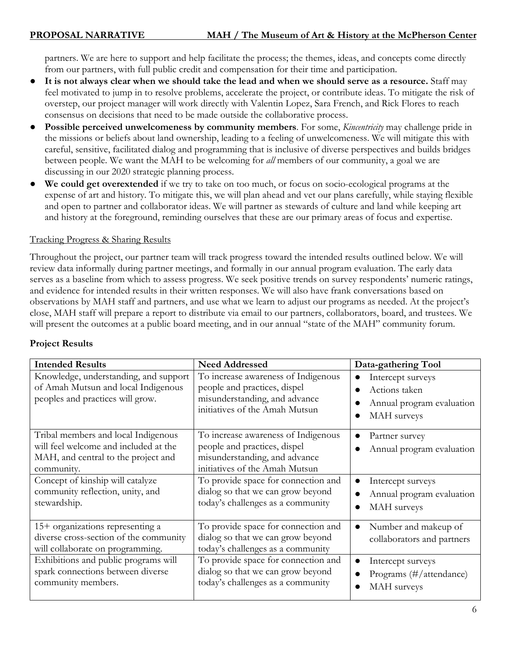partners. We are here to support and help facilitate the process; the themes, ideas, and concepts come directly from our partners, with full public credit and compensation for their time and participation.

- **It is not always clear when we should take the lead and when we should serve as a resource.** Staff may feel motivated to jump in to resolve problems, accelerate the project, or contribute ideas. To mitigate the risk of overstep, our project manager will work directly with Valentin Lopez, Sara French, and Rick Flores to reach consensus on decisions that need to be made outside the collaborative process.
- **Possible perceived unwelcomeness by community members**. For some, *Kincentricity* may challenge pride in the missions or beliefs about land ownership, leading to a feeling of unwelcomeness. We will mitigate this with careful, sensitive, facilitated dialog and programming that is inclusive of diverse perspectives and builds bridges between people. We want the MAH to be welcoming for *all* members of our community, a goal we are discussing in our 2020 strategic planning process.
- **We could get overextended** if we try to take on too much, or focus on socio-ecological programs at the expense of art and history. To mitigate this, we will plan ahead and vet our plans carefully, while staying flexible and open to partner and collaborator ideas. We will partner as stewards of culture and land while keeping art and history at the foreground, reminding ourselves that these are our primary areas of focus and expertise.

#### Tracking Progress & Sharing Results

Throughout the project, our partner team will track progress toward the intended results outlined below. We will review data informally during partner meetings, and formally in our annual program evaluation. The early data serves as a baseline from which to assess progress. We seek positive trends on survey respondents' numeric ratings, and evidence for intended results in their written responses. We will also have frank conversations based on observations by MAH staff and partners, and use what we learn to adjust our programs as needed. At the project's close, MAH staff will prepare a report to distribute via email to our partners, collaborators, board, and trustees. We will present the outcomes at a public board meeting, and in our annual "state of the MAH" community forum.

| <b>Intended Results</b>                                                                                                                                               | <b>Need Addressed</b>                                                                                                                                                         | Data-gathering Tool                                                                         |  |  |  |
|-----------------------------------------------------------------------------------------------------------------------------------------------------------------------|-------------------------------------------------------------------------------------------------------------------------------------------------------------------------------|---------------------------------------------------------------------------------------------|--|--|--|
| Knowledge, understanding, and support<br>of Amah Mutsun and local Indigenous<br>peoples and practices will grow.                                                      | To increase awareness of Indigenous<br>people and practices, dispel<br>misunderstanding, and advance<br>initiatives of the Amah Mutsun                                        | Intercept surveys<br>$\bullet$<br>Actions taken<br>Annual program evaluation<br>MAH surveys |  |  |  |
| Tribal members and local Indigenous<br>will feel welcome and included at the<br>MAH, and central to the project and<br>community.<br>Concept of kinship will catalyze | To increase awareness of Indigenous<br>people and practices, dispel<br>misunderstanding, and advance<br>initiatives of the Amah Mutsun<br>To provide space for connection and | Partner survey<br>$\bullet$<br>Annual program evaluation<br>$\bullet$                       |  |  |  |
| community reflection, unity, and<br>stewardship.                                                                                                                      | dialog so that we can grow beyond<br>today's challenges as a community                                                                                                        | Intercept surveys<br>Annual program evaluation<br>MAH surveys                               |  |  |  |
| 15+ organizations representing a<br>diverse cross-section of the community<br>will collaborate on programming.                                                        | To provide space for connection and<br>dialog so that we can grow beyond<br>today's challenges as a community                                                                 | Number and makeup of<br>$\bullet$<br>collaborators and partners                             |  |  |  |
| Exhibitions and public programs will<br>spark connections between diverse<br>community members.                                                                       | To provide space for connection and<br>dialog so that we can grow beyond<br>today's challenges as a community                                                                 | Intercept surveys<br>$\bullet$<br>Programs (#/attendance)<br>MAH surveys                    |  |  |  |

### **Project Results**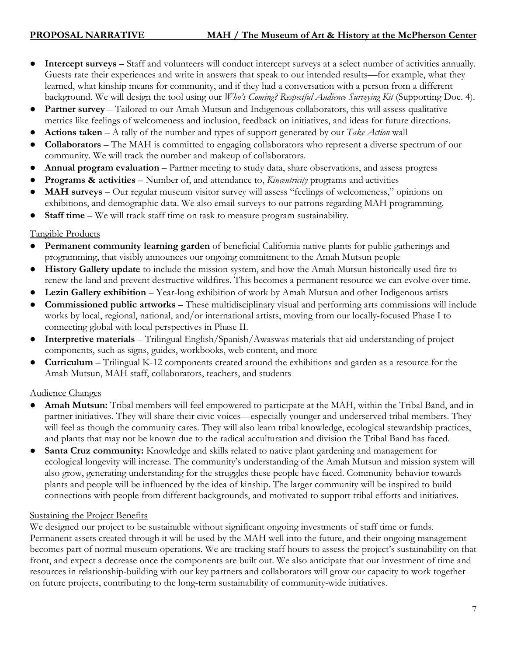- **Intercept surveys** Staff and volunteers will conduct intercept surveys at a select number of activities annually. Guests rate their experiences and write in answers that speak to our intended results—for example, what they learned, what kinship means for community, and if they had a conversation with a person from a different background. We will design the tool using our *Who's Coming? Respectful Audience Surveying Kit* (Supporting Doc. 4).
- **Partner survey** Tailored to our Amah Mutsun and Indigenous collaborators, this will assess qualitative metrics like feelings of welcomeness and inclusion, feedback on initiatives, and ideas for future directions.
- **Actions taken**  A tally of the number and types of support generated by our *Take Action* wall
- **Collaborators** The MAH is committed to engaging collaborators who represent a diverse spectrum of our community. We will track the number and makeup of collaborators.
- **Annual program evaluation** Partner meeting to study data, share observations, and assess progress
- **Programs & activities** Number of, and attendance to, *Kincentricity* programs and activities
- **MAH surveys** Our regular museum visitor survey will assess "feelings of welcomeness," opinions on exhibitions, and demographic data. We also email surveys to our patrons regarding MAH programming.
- **Staff time**  We will track staff time on task to measure program sustainability.

#### Tangible Products

- Permanent community learning garden of beneficial California native plants for public gatherings and programming, that visibly announces our ongoing commitment to the Amah Mutsun people
- **History Gallery update** to include the mission system, and how the Amah Mutsun historically used fire to renew the land and prevent destructive wildfires. This becomes a permanent resource we can evolve over time.
- **Lezin Gallery exhibition** Year-long exhibition of work by Amah Mutsun and other Indigenous artists
- **Commissioned public artworks** These multidisciplinary visual and performing arts commissions will include works by local, regional, national, and/or international artists, moving from our locally-focused Phase I to connecting global with local perspectives in Phase II.
- **Interpretive materials** Trilingual English/Spanish/Awaswas materials that aid understanding of project components, such as signs, guides, workbooks, web content, and more
- **Curriculum** Trilingual K-12 components created around the exhibitions and garden as a resource for the Amah Mutsun, MAH staff, collaborators, teachers, and students

### Audience Changes

- **Amah Mutsun:** Tribal members will feel empowered to participate at the MAH, within the Tribal Band, and in partner initiatives. They will share their civic voices—especially younger and underserved tribal members. They will feel as though the community cares. They will also learn tribal knowledge, ecological stewardship practices, and plants that may not be known due to the radical acculturation and division the Tribal Band has faced.
- **Santa Cruz community:** Knowledge and skills related to native plant gardening and management for ecological longevity will increase. The community's understanding of the Amah Mutsun and mission system will also grow, generating understanding for the struggles these people have faced. Community behavior towards plants and people will be influenced by the idea of kinship. The larger community will be inspired to build connections with people from different backgrounds, and motivated to support tribal efforts and initiatives.

### Sustaining the Project Benefits

We designed our project to be sustainable without significant ongoing investments of staff time or funds. Permanent assets created through it will be used by the MAH well into the future, and their ongoing management becomes part of normal museum operations. We are tracking staff hours to assess the project's sustainability on that front, and expect a decrease once the components are built out. We also anticipate that our investment of time and resources in relationship-building with our key partners and collaborators will grow our capacity to work together on future projects, contributing to the long-term sustainability of community-wide initiatives.